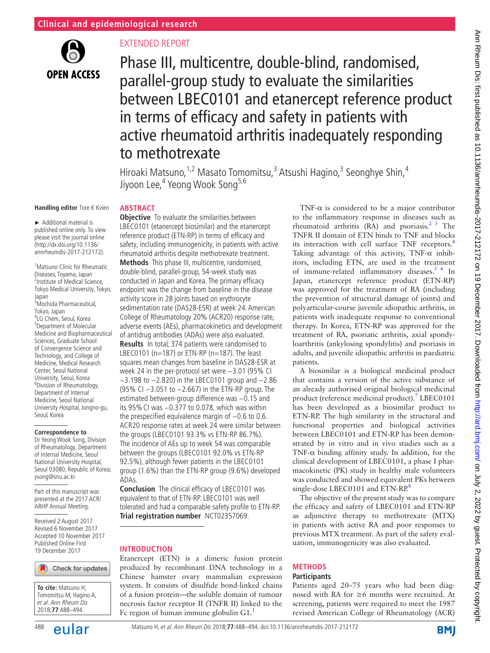

# Extended report

Phase III, multicentre, double-blind, randomised, parallel-group study to evaluate the similarities between LBEC0101 and etanercept reference product in terms of efficacy and safety in patients with active rheumatoid arthritis inadequately responding to methotrexate

Hiroaki Matsuno,<sup>1,2</sup> Masato Tomomitsu,<sup>3</sup> Atsushi Hagino,<sup>3</sup> Seonghye Shin,<sup>4</sup> Jiyoon Lee,<sup>4</sup> Yeong Wook Song<sup>5,6</sup>

#### **Handling editor** Tore K Kvien

► Additional material is published online only. To view please visit the journal online (http://dx.doi.org/10.1136/ annrheumdis-2017-212172).

1 Matsuno Clinic for Rheumatic Diseases, Toyama, Japan <sup>2</sup> <sup>2</sup>Institute of Medical Science, Tokyo Medical University, Tokyo, Japan 3 Mochida Pharmaceutical, Tokyo, Japan <sup>4</sup> LG Chem, Seoul, Korea 5 Department of Molecular Medicine and Biopharmaceutical Sciences, Graduate School of Convergence Science and Technology, and College of Medicine, Medical Research Center, Seoul National University, Seoul, Korea 6 Division of Rheumatology, Department of Internal Medicine, Seoul National University Hospital, Jongno-gu, Seoul, Korea

#### **Correspondence to**

Dr Yeong Wook Song, Division of Rheumatology, Department of Internal Medicine, Seoul National University Hospital, Seoul 03080, Republic of Korea; ysong@snu.ac.kr

Part of this manuscript was presented at the 2017 ACR/ ARHP Annual Meeting.

Received 2 August 2017 Revised 6 November 2017 Accepted 10 November 2017 Published Online First 19 December 2017

#### Check for updates



**ABSTRACT Objective** To evaluate the similarities between

LBEC0101 (etanercept biosimilar) and the etanercept reference product (ETN-RP) in terms of efficacy and safety, including immunogenicity, in patients with active rheumatoid arthritis despite methotrexate treatment. **Methods** This phase III, multicentre, randomised, double-blind, parallel-group, 54-week study was conducted in Japan and Korea. The primary efficacy endpoint was the change from baseline in the disease activity score in 28 joints based on erythrocyte sedimentation rate (DAS28-ESR) at week 24. American College of Rheumatology 20% (ACR20) response rate, adverse events (AEs), pharmacokinetics and development of antidrug antibodies (ADAs) were also evaluated. **Results** In total, 374 patients were randomised to LBEC0101 ( $n=187$ ) or ETN-RP ( $n=187$ ). The least squares mean changes from baseline in DAS28-ESR at week 24 in the per-protocol set were −3.01 (95% CI −3.198 to −2.820) in the LBEC0101 group and −2.86 (95% CI −3.051 to −2.667) in the ETN-RP group. The estimated between-group difference was -0.15 and its 95%CI was −0.377 to 0.078, which was within the prespecified equivalence margin of −0.6 to 0.6. ACR20 response rates at week 24 were similar between the groups (LBEC0101 93.3% vs ETN-RP 86.7%). The incidence of AEs up to week 54 was comparable between the groups (LBEC0101 92.0% vs ETN-RP 92.5%), although fewer patients in the LBEC0101 group (1.6%) than the ETN-RP group (9.6%) developed ADAs.

**Conclusion** The clinical efficacy of LBEC0101 was equivalent to that of ETN-RP. LBEC0101 was well tolerated and had a comparable safety profile to ETN-RP. **Trial registration number** NCT02357069.

## **Introduction**

Etanercept (ETN) is a dimeric fusion protein produced by recombinant DNA technology in a Chinese hamster ovary mammalian expression system. It consists of disulfide bond-linked chains of a fusion protein—the soluble domain of tumour necrosis factor receptor II (TNFR II) linked to the Fc region of human immune globulin  $G1$  $G1$ .

TNF- $\alpha$  is considered to be a major contributor to the inflammatory response in diseases such as rheumatoid arthritis  $(RA)$  and psoriasis.<sup>[2 3](#page-6-1)</sup> The TNFR II domain of ETN binds to TNF and blocks its interaction with cell surface TNF receptors.<sup>[4](#page-6-2)</sup> Taking advantage of this activity, TNF- $\alpha$  inhibitors, including ETN, are used in the treatment of immune-related inflammatory diseases.<sup>5 6</sup> In Japan, etanercept reference product (ETN-RP) was approved for the treatment of RA (including the prevention of structural damage of joints) and polyarticular-course juvenile idiopathic arthritis, in patients with inadequate response to conventional therapy. In Korea, ETN-RP was approved for the treatment of RA, psoriatic arthritis, axial spondyloarthritis (ankylosing spondylitis) and psoriasis in adults, and juvenile idiopathic arthritis in paediatric patients.

A biosimilar is a biological medicinal product that contains a version of the active substance of an already authorised original biological medicinal product (reference medicinal product).<sup>[7](#page-6-4)</sup> LBEC0101 has been developed as a biosimilar product to ETN-RP. The high similarity in the structural and functional properties and biological activities between LBEC0101 and ETN-RP has been demonstrated by in vitro and in vivo studies such as a TNF- $\alpha$  binding affinity study. In addition, for the clinical development of LBEC0101, a phase I pharmacokinetic (PK) study in healthy male volunteers was conducted and showed equivalent PKs between single-dose LBEC0101 and ETN-RP.<sup>[8](#page-6-5)</sup>

The objective of the present study was to compare the efficacy and safety of LBEC0101 and ETN-RP as adjunctive therapy to methotrexate (MTX) in patients with active RA and poor responses to previous MTX treatment. As part of the safety evaluation, immunogenicity was also evaluated.

# **Methods**

#### **Participants**

Patients aged 20–75 years who had been diagnosed with RA for ≥6 months were recruited. At screening, patients were required to meet the 1987 revised American College of Rheumatology (ACR)

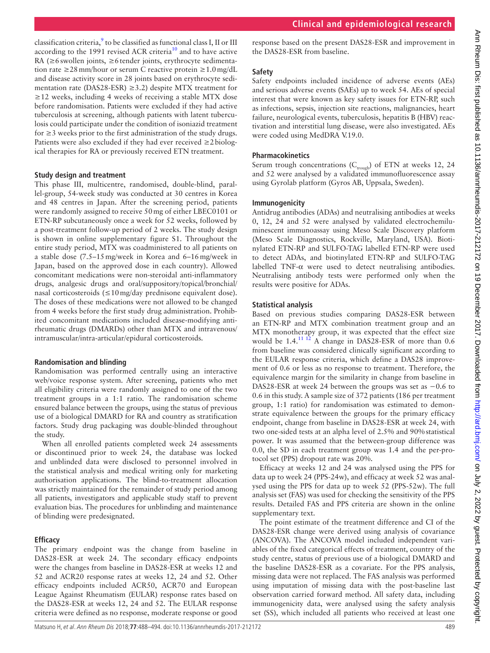classification criteria, $\frac{9}{2}$  $\frac{9}{2}$  $\frac{9}{2}$  to be classified as functional class I, II or III according to the 1991 revised ACR criteria<sup>10</sup> and to have active RA (≥6swollen joints, ≥6tender joints, erythrocyte sedimentation rate ≥28mm/hour or serum C reactive protein ≥1.0mg/dL and disease activity score in 28 joints based on erythrocyte sedimentation rate (DAS28-ESR) ≥3.2) despite MTX treatment for  $\geq$ 12 weeks, including 4 weeks of receiving a stable MTX dose before randomisation. Patients were excluded if they had active tuberculosis at screening, although patients with latent tuberculosis could participate under the condition of isoniazid treatment for ≥3 weeks prior to the first administration of the study drugs. Patients were also excluded if they had ever received ≥2biological therapies for RA or previously received ETN treatment.

#### **Study design and treatment**

This phase III, multicentre, randomised, double-blind, parallel-group, 54-week study was conducted at 30 centres in Korea and 48 centres in Japan. After the screening period, patients were randomly assigned to receive 50mg of either LBEC0101 or ETN-RP subcutaneously once a week for 52 weeks, followed by a post-treatment follow-up period of 2 weeks. The study design is shown in online [supplementary figure S1.](https://dx.doi.org/10.1136/annrheumdis-2017-212172) Throughout the entire study period, MTX was coadministered to all patients on a stable dose (7.5–15mg/week in Korea and 6–16mg/week in Japan, based on the approved dose in each country). Allowed concomitant medications were non-steroidal anti-inflammatory drugs, analgesic drugs and oral/suppository/topical/bronchial/ nasal corticosteroids (≤10mg/day prednisone equivalent dose). The doses of these medications were not allowed to be changed from 4 weeks before the first study drug administration. Prohibited concomitant medications included disease-modifying antirheumatic drugs (DMARDs) other than MTX and intravenous/ intramuscular/intra-articular/epidural corticosteroids.

#### **Randomisation and blinding**

Randomisation was performed centrally using an interactive web/voice response system. After screening, patients who met all eligibility criteria were randomly assigned to one of the two treatment groups in a 1:1 ratio. The randomisation scheme ensured balance between the groups, using the status of previous use of a biological DMARD for RA and country as stratification factors. Study drug packaging was double-blinded throughout the study.

When all enrolled patients completed week 24 assessments or discontinued prior to week 24, the database was locked and unblinded data were disclosed to personnel involved in the statistical analysis and medical writing only for marketing authorisation applications. The blind-to-treatment allocation was strictly maintained for the remainder of study period among all patients, investigators and applicable study staff to prevent evaluation bias. The procedures for unblinding and maintenance of blinding were predesignated.

## **Efficacy**

The primary endpoint was the change from baseline in DAS28-ESR at week 24. The secondary efficacy endpoints were the changes from baseline in DAS28-ESR at weeks 12 and 52 and ACR20 response rates at weeks 12, 24 and 52. Other efficacy endpoints included ACR50, ACR70 and European League Against Rheumatism (EULAR) response rates based on the DAS28-ESR at weeks 12, 24 and 52. The EULAR response criteria were defined as no response, moderate response or good

response based on the present DAS28-ESR and improvement in the DAS28-ESR from baseline.

#### **Safety**

Safety endpoints included incidence of adverse events (AEs) and serious adverse events (SAEs) up to week 54. AEs of special interest that were known as key safety issues for ETN-RP, such as infections, sepsis, injection site reactions, malignancies, heart failure, neurological events, tuberculosis, hepatitis B (HBV) reactivation and interstitial lung disease, were also investigated. AEs were coded using MedDRA V.19.0.

## **Pharmacokinetics**

Serum trough concentrations ( $C_{trough}$ ) of ETN at weeks 12, 24 and 52 were analysed by a validated immunofluorescence assay using Gyrolab platform (Gyros AB, Uppsala, Sweden).

#### **Immunogenicity**

Antidrug antibodies (ADAs) and neutralising antibodies at weeks 0, 12, 24 and 52 were analysed by validated electrochemiluminescent immunoassay using Meso Scale Discovery platform (Meso Scale Diagnostics, Rockville, Maryland, USA). Biotinylated ETN-RP and SULFO-TAG labelled ETN-RP were used to detect ADAs, and biotinylated ETN-RP and SULFO-TAG labelled TNF-α were used to detect neutralising antibodies. Neutralising antibody tests were performed only when the results were positive for ADAs.

## **Statistical analysis**

Based on previous studies comparing DAS28-ESR between an ETN-RP and MTX combination treatment group and an MTX monotherapy group, it was expected that the effect size would be 1.4.<sup>11 12</sup> A change in DAS28-ESR of more than 0.6 from baseline was considered clinically significant according to the EULAR response criteria, which define a DAS28 improvement of 0.6 or less as no response to treatment. Therefore, the equivalence margin for the similarity in change from baseline in DAS28-ESR at week 24 between the groups was set as −0.6 to 0.6 in this study. A sample size of 372 patients (186 per treatment group, 1:1 ratio) for randomisation was estimated to demonstrate equivalence between the groups for the primary efficacy endpoint, change from baseline in DAS28-ESR at week 24, with two one-sided tests at an alpha level of 2.5% and 90%statistical power. It was assumed that the between-group difference was 0.0, the SD in each treatment group was 1.4 and the per-protocol set (PPS) dropout rate was 20%.

Efficacy at weeks 12 and 24 was analysed using the PPS for data up to week 24 (PPS-24w), and efficacy at week 52 was analysed using the PPS for data up to week 52 (PPS-52w). The full analysis set (FAS) was used for checking the sensitivity of the PPS results. Detailed FAS and PPS criteria are shown in the online [supplementary text.](https://dx.doi.org/10.1136/annrheumdis-2017-212172)

The point estimate of the treatment difference and CI of the DAS28-ESR change were derived using analysis of covariance (ANCOVA). The ANCOVA model included independent variables of the fixed categorical effects of treatment, country of the study centre, status of previous use of a biological DMARD and the baseline DAS28-ESR as a covariate. For the PPS analysis, missing data were not replaced. The FAS analysis was performed using imputation of missing data with the post-baseline last observation carried forward method. All safety data, including immunogenicity data, were analysed using the safety analysis set (SS), which included all patients who received at least one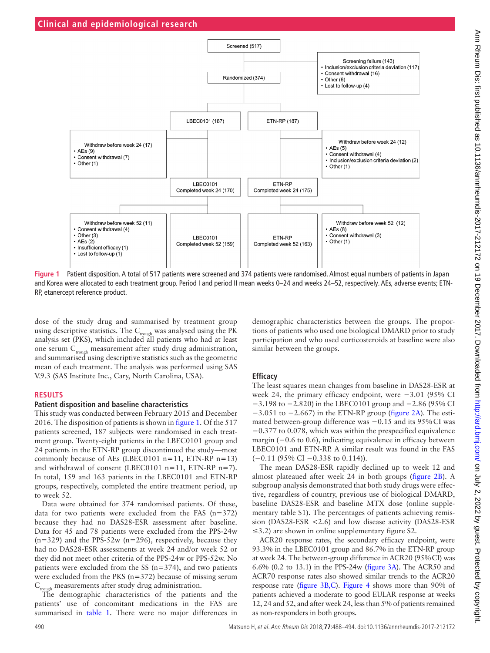

<span id="page-2-0"></span>**Figure 1** Patient disposition. A total of 517 patients were screened and 374 patients were randomised. Almost equal numbers of patients in Japan and Korea were allocated to each treatment group. Period I and period II mean weeks 0–24 and weeks 24–52, respectively. AEs, adverse events; ETN-RP, etanercept reference product.

dose of the study drug and summarised by treatment group using descriptive statistics. The  $C_{trough}$  was analysed using the PK analysis set (PKS), which included all patients who had at least one serum C<sub>trough</sub> measurement after study drug administration, and summarised using descriptive statistics such as the geometric mean of each treatment. The analysis was performed using SAS V.9.3 (SAS Institute Inc., Cary, North Carolina, USA).

#### **Results**

#### **Patient disposition and baseline characteristics**

This study was conducted between February 2015 and December 2016. The disposition of patients is shown in [figure](#page-2-0) 1. Of the 517 patients screened, 187 subjects were randomised in each treatment group. Twenty-eight patients in the LBEC0101 group and 24 patients in the ETN-RP group discontinued the study—most commonly because of AEs (LBEC0101  $n=11$ , ETN-RP  $n=13$ ) and withdrawal of consent (LBEC0101 n=11, ETN-RP n=7). In total, 159 and 163 patients in the LBEC0101 and ETN-RP groups, respectively, completed the entire treatment period, up to week 52.

Data were obtained for 374 randomised patients. Of these, data for two patients were excluded from the FAS ( $n=372$ ) because they had no DAS28-ESR assessment after baseline. Data for 45 and 78 patients were excluded from the PPS-24w  $(n=329)$  and the PPS-52w (n=296), respectively, because they had no DAS28-ESR assessments at week 24 and/or week 52 or they did not meet other criteria of the PPS-24w or PPS-52w. No patients were excluded from the SS (n=374), and two patients were excluded from the PKS  $(n=372)$  because of missing serum  $C_{\text{trough}}$  measurements after study drug administration.

The demographic characteristics of the patients and the patients' use of concomitant medications in the FAS are summarised in [table](#page-3-0) 1. There were no major differences in

demographic characteristics between the groups. The proportions of patients who used one biological DMARD prior to study participation and who used corticosteroids at baseline were also similar between the groups.

## **Efficacy**

The least squares mean changes from baseline in DAS28-ESR at week 24, the primary efficacy endpoint, were −3.01 (95% CI −3.198 to −2.820) in the LBEC0101 group and −2.86 (95% CI  $-3.051$  to  $-2.667$ ) in the ETN-RP group ([figure](#page-3-1) 2A). The estimated between-group difference was −0.15 and its 95%CI was −0.377 to 0.078, which was within the prespecified equivalence margin (−0.6 to 0.6), indicating equivalence in efficacy between LBEC0101 and ETN-RP. A similar result was found in the FAS (−0.11 (95% CI −0.338 to 0.114)).

The mean DAS28-ESR rapidly declined up to week 12 and almost plateaued after week 24 in both groups [\(figure](#page-3-1) 2B). A subgroup analysis demonstrated that both study drugs were effective, regardless of country, previous use of biological DMARD, baseline DAS28-ESR and baseline MTX dose (online [supple](https://dx.doi.org/10.1136/annrheumdis-2017-212172)[mentary table S1](https://dx.doi.org/10.1136/annrheumdis-2017-212172)). The percentages of patients achieving remission (DAS28-ESR <2.6) and low disease activity (DAS28-ESR  $\leq$ 3.2) are shown in online [supplementary figure S2.](https://dx.doi.org/10.1136/annrheumdis-2017-212172)

ACR20 response rates, the secondary efficacy endpoint, were 93.3% in the LBEC0101 group and 86.7% in the ETN-RP group at week 24. The between-group difference in ACR20 (95%CI) was 6.6% (0.2 to 13.1) in the PPS-24w [\(figure](#page-4-0) 3A). The ACR50 and ACR70 response rates also showed similar trends to the ACR20 response rate ([figure](#page-4-0) 3B,C). [Figure](#page-4-1) 4 shows more than 90% of patients achieved a moderate to good EULAR response at weeks 12, 24 and 52, and after week 24, less than 5% of patients remained as non-responders in both groups.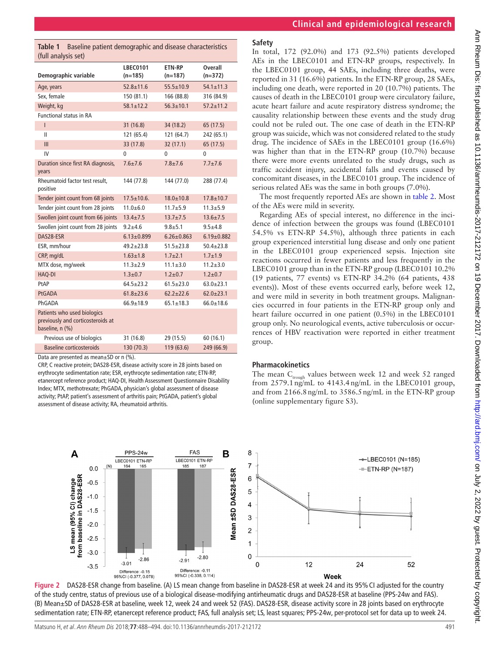| (full analysis set)                                                                 |                              |                            |                      |
|-------------------------------------------------------------------------------------|------------------------------|----------------------------|----------------------|
| Demographic variable                                                                | <b>LBEC0101</b><br>$(n=185)$ | <b>ETN-RP</b><br>$(n=187)$ | Overall<br>$(n=372)$ |
| Age, years                                                                          | $52.8 \pm 11.6$              | $55.5 \pm 10.9$            | $54.1 \pm 11.3$      |
| Sex, female                                                                         | 150 (81.1)                   | 166 (88.8)                 | 316 (84.9)           |
| Weight, kg                                                                          | $58.1 \pm 12.2$              | $56.3 \pm 10.1$            | $57.2 \pm 11.2$      |
| <b>Functional status in RA</b>                                                      |                              |                            |                      |
| Ī                                                                                   | 31 (16.8)                    | 34 (18.2)                  | 65 (17.5)            |
| $\mathbf{II}$                                                                       | 121 (65.4)                   | 121 (64.7)                 | 242 (65.1)           |
| III                                                                                 | 33 (17.8)                    | 32(17.1)                   | 65 (17.5)            |
| IV                                                                                  | 0                            | 0                          | $\Omega$             |
| Duration since first RA diagnosis,<br>years                                         | $7.6 + 7.6$                  | $7.8 + 7.6$                | $7.7 + 7.6$          |
| Rheumatoid factor test result.<br>positive                                          | 144 (77.8)                   | 144 (77.0)                 | 288 (77.4)           |
| Tender joint count from 68 joints                                                   | $17.5 \pm 10.6$ .            | $18.0 \pm 10.8$            | $17.8 + 10.7$        |
| Tender joint count from 28 joints                                                   | $11.0 + 6.0$                 | $11.7 + 5.9$               | $11.3 + 5.9$         |
| Swollen joint count from 66 joints                                                  | $13.4 \pm 7.5$               | $13.7 \pm 7.5$             | $13.6 + 7.5$         |
| Swollen joint count from 28 joints                                                  | $9.2 + 4.6$                  | $9.8 + 5.1$                | $9.5 + 4.8$          |
| DAS28-ESR                                                                           | $6.13 \pm 0.899$             | $6.26 \pm 0.863$           | $6.19 \pm 0.882$     |
| ESR, mm/hour                                                                        | $49.2 + 23.8$                | $51.5 + 23.8$              | $50.4 + 23.8$        |
| CRP, mg/dL                                                                          | $1.63 \pm 1.8$               | $1.7 + 2.1$                | $1.7 + 1.9$          |
| MTX dose, mg/week                                                                   | $11.3 + 2.9$                 | $11.1 \pm 3.0$             | $11.2 + 3.0$         |
| HAQ-DI                                                                              | $1.3 + 0.7$                  | $1.2 + 0.7$                | $1.2 + 0.7$          |
| PtAP                                                                                | $64.5 + 23.2$                | $61.5 + 23.0$              | $63.0 + 23.1$        |
| <b>PtGADA</b>                                                                       | $61.8 \pm 23.6$              | $62.2 \pm 22.6$            | $62.0 \pm 23.1$      |
| PhGADA                                                                              | $66.9 \pm 18.9$              | $65.1 \pm 18.3$            | $66.0 + 18.6$        |
| Patients who used biologics<br>previously and corticosteroids at<br>baseline, n (%) |                              |                            |                      |
| Previous use of biologics                                                           | 31 (16.8)                    | 29 (15.5)                  | 60 (16.1)            |
| Baseline corticosteroids                                                            | 130 (70.3)                   | 119 (63.6)                 | 249 (66.9)           |

<span id="page-3-0"></span>**Table 1** Baseline patient demographic and disease characteristics

Data are presented as mean±SD or n (%).

CRP, C reactive protein; DAS28-ESR, disease activity score in 28 joints based on erythrocyte sedimentation rate; ESR, erythrocyte sedimentation rate; ETN-RP, etanercept reference product; HAQ-DI, Health Assessment Questionnaire Disability Index; MTX, methotrexate; PhGADA, physician's global assessment of disease activity; PtAP, patient's assessment of arthritis pain; PtGADA, patient's global assessment of disease activity; RA, rheumatoid arthritis.

# **Clinical and epidemiological research**

In total, 172 (92.0%) and 173 (92.5%) patients developed AEs in the LBEC0101 and ETN-RP groups, respectively. In the LBEC0101 group, 44 SAEs, including three deaths, were reported in 31 (16.6%) patients. In the ETN-RP group, 28 SAEs, including one death, were reported in 20 (10.7%) patients. The causes of death in the LBEC0101 group were circulatory failure, acute heart failure and acute respiratory distress syndrome; the causality relationship between these events and the study drug could not be ruled out. The one case of death in the ETN-RP group was suicide, which was not considered related to the study drug. The incidence of SAEs in the LBEC0101 group (16.6%) was higher than that in the ETN-RP group (10.7%) because there were more events unrelated to the study drugs, such as traffic accident injury, accidental falls and events caused by concomitant diseases, in the LBEC0101 group. The incidence of serious related AEs was the same in both groups (7.0%).

The most frequently reported AEs are shown in [table](#page-5-0) 2. Most of the AEs were mild in severity.

Regarding AEs of special interest, no difference in the incidence of infection between the groups was found (LBEC0101 54.5% vs ETN-RP 54.5%), although three patients in each group experienced interstitial lung disease and only one patient in the LBEC0101 group experienced sepsis. Injection site reactions occurred in fewer patients and less frequently in the LBEC0101 group than in the ETN-RP group (LBEC0101 10.2% (19 patients, 77 events) vs ETN-RP 34.2% (64 patients, 438 events)). Most of these events occurred early, before week 12, and were mild in severity in both treatment groups. Malignancies occurred in four patients in the ETN-RP group only and heart failure occurred in one patient (0.5%) in the LBEC0101 group only. No neurological events, active tuberculosis or occurrences of HBV reactivation were reported in either treatment group.

# **Pharmacokinetics**

The mean  $C_{\text{trouzh}}$  values between week 12 and week 52 ranged from  $2579.1$ ng/mL to  $4143.4$ ng/mL in the LBEC0101 group, and from 2166.8ng/mL to 3586.5ng/mL in the ETN-RP group (online [supplementary figure S3](https://dx.doi.org/10.1136/annrheumdis-2017-212172)).



<span id="page-3-1"></span>**Figure 2** DAS28-ESR change from baseline. (A) LS mean change from baseline in DAS28-ESR at week 24 and its 95%CI adjusted for the country of the study centre, status of previous use of a biological disease-modifying antirheumatic drugs and DAS28-ESR at baseline (PPS-24w and FAS). (B) Mean±SD of DAS28-ESR at baseline, week 12, week 24 and week 52 (FAS). DAS28-ESR, disease activity score in 28 joints based on erythrocyte sedimentation rate; ETN-RP, etanercept reference product; FAS, full analysis set; LS, least squares; PPS-24w, per-protocol set for data up to week 24.

Matsuno H, et al. Ann Rheum Dis 2018;**77**:488–494. doi:10.1136/annrheumdis-2017-212172 491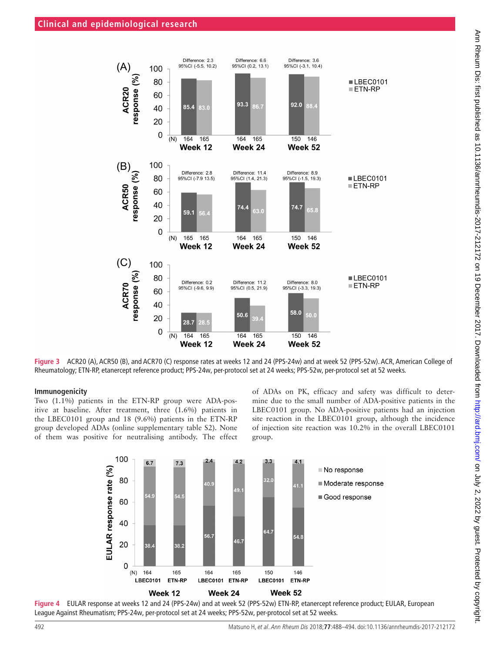

<span id="page-4-0"></span>**Figure 3** ACR20 (A), ACR50 (B), and ACR70 (C) response rates at weeks 12 and 24 (PPS-24w) and at week 52 (PPS-52w). ACR, American College of Rheumatology; ETN-RP, etanercept reference product; PPS-24w, per-protocol set at 24 weeks; PPS-52w, per-protocol set at 52 weeks.

#### **Immunogenicity**

Two (1.1%) patients in the ETN-RP group were ADA-positive at baseline. After treatment, three (1.6%) patients in the LBEC0101 group and 18 (9.6%) patients in the ETN-RP group developed ADAs (online [supplementary table S2](https://dx.doi.org/10.1136/annrheumdis-2017-212172)). None of them was positive for neutralising antibody. The effect of ADAs on PK, efficacy and safety was difficult to determine due to the small number of ADA-positive patients in the LBEC0101 group. No ADA-positive patients had an injection site reaction in the LBEC0101 group, although the incidence of injection site reaction was 10.2% in the overall LBEC0101 group.



<span id="page-4-1"></span>**Figure 4** EULAR response at weeks 12 and 24 (PPS-24w) and at week 52 (PPS-52w) ETN-RP, etanercept reference product; EULAR, European League Against Rheumatism; PPS-24w, per-protocol set at 24 weeks; PPS-52w, per-protocol set at 52 weeks.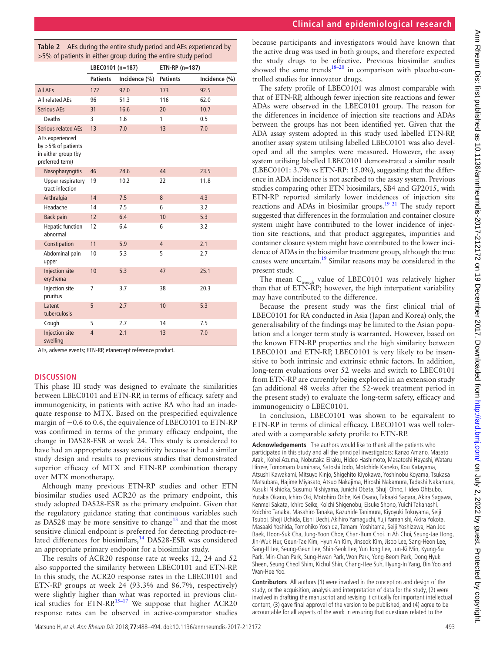| J                                                                                     |
|---------------------------------------------------------------------------------------|
|                                                                                       |
| ļ                                                                                     |
|                                                                                       |
|                                                                                       |
| $\ddot{\phantom{0}}$                                                                  |
|                                                                                       |
| ֖֚֚֚֡֝<br>֧֧֧֧֧֧֧֚֚֚֚֚֚֚֚֚֚֚֚֚֚֚֚֚֚֚֩֩֝֘֩֩֩֩֓֝֝֩֓֝֩                                   |
| $\overline{\phantom{0}}$                                                              |
| A CONTRACT COLLECT LOOD LINES IN STATE COLLECT LATER CONTRACT COLLECT COLLECT COLLECT |
| )                                                                                     |
|                                                                                       |
| 1                                                                                     |
| $\ddot{\phantom{0}}$                                                                  |
|                                                                                       |
| l                                                                                     |
|                                                                                       |
| .<br>د<br>j                                                                           |
| )<br>3                                                                                |
| ï<br>)                                                                                |
| J                                                                                     |
|                                                                                       |
|                                                                                       |
| ١                                                                                     |
| J<br>ׇ֚֬                                                                              |
|                                                                                       |
| )                                                                                     |
| i<br>١<br>I<br>١                                                                      |
| $\ddot{\ }$<br>į<br>ţ                                                                 |
| ì                                                                                     |
|                                                                                       |
|                                                                                       |
|                                                                                       |
|                                                                                       |
|                                                                                       |
| $\ddot{\ddot{\ }}$<br>i                                                               |
|                                                                                       |
| l                                                                                     |
| ー・コ                                                                                   |
|                                                                                       |
|                                                                                       |
|                                                                                       |
| ׇ֚֡                                                                                   |
|                                                                                       |
|                                                                                       |
|                                                                                       |
| ֠                                                                                     |
|                                                                                       |
|                                                                                       |

 $\triangleright$ 

|  |  | <b>Clinical and epidemiological research</b> |  |
|--|--|----------------------------------------------|--|
|  |  |                                              |  |

|                                                                                    | LBEC0101 (n=187)                 |               | ETN-RP (n=187)  |               |
|------------------------------------------------------------------------------------|----------------------------------|---------------|-----------------|---------------|
|                                                                                    | <b>Patients</b>                  | Incidence (%) | <b>Patients</b> | Incidence (%) |
| All AEs                                                                            | 172                              | 92.0          | 173             | 92.5          |
| All related AEs                                                                    | 96                               | 51.3          | 116             | 62.0          |
| <b>Serious AEs</b>                                                                 | 31                               | 16.6          | 20              | 10.7          |
| Deaths                                                                             | 3                                | 1.6           | 1               | 0.5           |
| <b>Serious related AEs</b>                                                         | 13                               | 7.0           | 13              | 7.0           |
| AEs experienced<br>by $>5\%$ of patients<br>in either group (by<br>preferred term) |                                  |               |                 |               |
| Nasopharyngitis                                                                    | 46                               | 24.6          | 44              | 23.5          |
| Upper respiratory<br>tract infection                                               | 19                               | 10.2          | 22              | 11.8          |
| Arthralgia                                                                         | 14                               | 7.5           | 8               | 4.3           |
| Headache                                                                           | 14                               | 7.5           | 6               | 3.2           |
| <b>Back pain</b>                                                                   | 12                               | 6.4           | 10              | 5.3           |
| <b>Hepatic function</b><br>abnormal                                                | 12                               | 6.4           | 6               | 3.2           |
| Constipation                                                                       | 11                               | 5.9           | $\overline{4}$  | 2.1           |
| Abdominal pain<br>upper                                                            | 10                               | 5.3           | 5               | 2.7           |
| <b>Injection site</b><br>erythema                                                  | 10                               | 5.3           | 47              | 25.1          |
| Injection site<br>pruritus                                                         | 7                                | 3.7           | 38              | 20.3          |
| Latent<br>tuberculosis                                                             | 5                                | 2.7           | 10              | 5.3           |
| Cough                                                                              | 5                                | 2.7           | 14              | 7.5           |
| <b>Injection site</b><br>swelling<br>$\mathbf{L}$<br>$\sim$ $\sim$                 | $\overline{4}$<br><b>FTAL DD</b> | 2.1<br>£.     | 13<br>л.        | 7.0           |

<span id="page-5-0"></span>**Table 2** AEs during the entire study period and AEs experienced by >5% of patients in either group during the entire study period

AEs, adverse events; ETN-RP, etanercept reference product.

#### **Discussion**

This phase III study was designed to evaluate the similarities between LBEC0101 and ETN-RP, in terms of efficacy, safety and immunogenicity, in patients with active RA who had an inadequate response to MTX. Based on the prespecified equivalence margin of −0.6 to 0.6, the equivalence of LBEC0101 to ETN-RP was confirmed in terms of the primary efficacy endpoint, the change in DAS28-ESR at week 24. This study is considered to have had an appropriate assay sensitivity because it had a similar study design and results to previous studies that demonstrated superior efficacy of MTX and ETN-RP combination therapy over MTX monotherapy.

Although many previous ETN-RP studies and other ETN biosimilar studies used ACR20 as the primary endpoint, this study adopted DAS28-ESR as the primary endpoint. Given that the regulatory guidance stating that continuous variables such as DAS28 may be more sensitive to change<sup>[13](#page-6-9)</sup> and that the most sensitive clinical endpoint is preferred for detecting product-related differences for biosimilars,<sup>14</sup> DAS28-ESR was considered an appropriate primary endpoint for a biosimilar study.

The results of ACR20 response rate at weeks 12, 24 and 52 also supported the similarity between LBEC0101 and ETN-RP. In this study, the ACR20 response rates in the LBEC0101 and ETN-RP groups at week 24 (93.3% and 86.7%, respectively) were slightly higher than what was reported in previous clinical studies for ETN-RP.<sup>15-17</sup> We suppose that higher ACR20 response rates can be observed in active-comparator studies

because participants and investigators would have known that the active drug was used in both groups, and therefore expected the study drugs to be effective. Previous biosimilar studies showed the same trends<sup>18–20</sup> in comparison with placebo-controlled studies for innovator drugs.

The safety profile of LBEC0101 was almost comparable with that of ETN-RP, although fewer injection site reactions and fewer ADAs were observed in the LBEC0101 group. The reason for the differences in incidence of injection site reactions and ADAs between the groups has not been identified yet. Given that the ADA assay system adopted in this study used labelled ETN-RP, another assay system utilising labelled LBEC0101 was also developed and all the samples were measured. However, the assay system utilising labelled LBEC0101 demonstrated a similar result (LBEC0101: 3.7% vs ETN-RP: 15.0%), suggesting that the difference in ADA incidence is not ascribed to the assay system. Previous studies comparing other ETN biosimilars, SB4 and GP2015, with ETN-RP reported similarly lower incidences of injection site reactions and ADAs in biosimilar groups[.19 21](#page-6-13) The study report suggested that differences in the formulation and container closure system might have contributed to the lower incidence of injection site reactions, and that product aggregates, impurities and container closure system might have contributed to the lower incidence of ADAs in the biosimilar treatment group, although the true causes were uncertain.[19](#page-6-13) Similar reasons may be considered in the present study.

The mean  $C_{\text{trough}}$  value of LBEC0101 was relatively higher than that of ETN-RP; however, the high interpatient variability may have contributed to the difference.

Because the present study was the first clinical trial of LBEC0101 for RA conducted in Asia (Japan and Korea) only, the generalisability of the findings may be limited to the Asian population and a longer term study is warranted. However, based on the known ETN-RP properties and the high similarity between LBEC0101 and ETN-RP, LBEC0101 is very likely to be insensitive to both intrinsic and extrinsic ethnic factors. In addition, long-term evaluations over 52 weeks and switch to LBEC0101 from ETN-RP are currently being explored in an extension study (an additional 48 weeks after the 52-week treatment period in the present study) to evaluate the long-term safety, efficacy and immunogenicity o LBEC0101.

In conclusion, LBEC0101 was shown to be equivalent to ETN-RP in terms of clinical efficacy. LBEC0101 was well tolerated with a comparable safety profile to ETN-RP.

**Acknowledgements** The authors would like to thank all the patients who participated in this study and all the principal investigators: Kanzo Amano, Masato Araki, Kohei Azuma, Nobutaka Eiraku, Hideo Hashimoto, Masatoshi Hayashi, Wataru Hirose, Tomomaro Izumihara, Satoshi Jodo, Motohide Kaneko, Kou Katayama, Atsushi Kawakami, Mitsuyo Kinjo, Shigehito Kiyokawa, Yoshinobu Koyama, Tsukasa Matsubara, Hajime Miyasato, Atsuo Nakajima, Hiroshi Nakamura, Tadashi Nakamura, Kusuki Nishioka, Susumu Nishiyama, Junichi Obata, Shuji Ohno, Hideo Ohtsubo, Yutaka Okano, Ichiro Oki, Motohiro Oribe, Kei Osano, Takaaki Sagara, Akira Sagawa, Kenmei Sakata, Ichiro Seike, Koichi Shigenobu, Eisuke Shono, Yuichi Takahashi, Koichiro Tanaka, Masahiro Tanaka, Kazuhide Tanimura, Kiyoyuki Tokuyama, Seiji Tsuboi, Shoji Uchida, Eishi Uechi, Akihiro Yamaguchi, Yuji Yamanishi, Akira Yokota, Masaaki Yoshida, Tomohiko Yoshida, Tamami Yoshitama, Seiji Yoshizawa, Han Joo Baek, Hoon-Suk Cha, Jung-Yoon Choe, Chan-Bum Choi, In Ah Choi, Seung-Jae Hong, Jin-Wuk Hur, Geun-Tae Kim, Hyun Ah Kim, Jinseok Kim, Jisoo Lee, Sang-Heon Lee, Sang-Il Lee, Seung-Geun Lee, Shin-Seok Lee, Yun Jong Lee, Jun-Ki Min, Kyung-Su Park, Min-Chan Park, Sung-Hwan Park, Won Park, Yong-Beom Park, Dong Hyuk Sheen, Seung Cheol Shim, Kichul Shin, Chang-Hee Suh, Hyung-In Yang, Bin Yoo and Wan-Hee Yoo.

**Contributors** All authors (1) were involved in the conception and design of the study, or the acquisition, analysis and interpretation of data for the study, (2) were involved in drafting the manuscript and revising it critically for important intellectual content, (3) gave final approval of the version to be published, and (4) agree to be accountable for all aspects of the work in ensuring that questions related to the